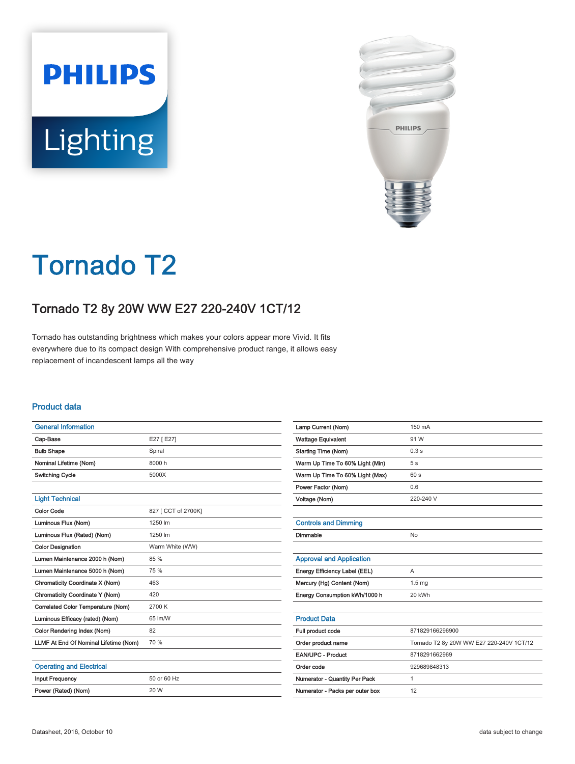



# Tornado T2

## Tornado T2 8y 20W WW E27 220-240V 1CT/12

Tornado has outstanding brightness which makes your colors appear more Vivid. It fits everywhere due to its compact design With comprehensive product range, it allows easy replacement of incandescent lamps all the way

#### Product data

| <b>General Information</b>            |                     |
|---------------------------------------|---------------------|
| Cap-Base                              | E27 [ E27]          |
| <b>Bulb Shape</b>                     | Spiral              |
| Nominal Lifetime (Nom)                | 8000 h              |
| <b>Switching Cycle</b>                | 5000X               |
|                                       |                     |
| <b>Light Technical</b>                |                     |
| <b>Color Code</b>                     | 827 [ CCT of 2700K] |
| Luminous Flux (Nom)                   | 1250 lm             |
| Luminous Flux (Rated) (Nom)           | 1250 lm             |
| <b>Color Designation</b>              | Warm White (WW)     |
| Lumen Maintenance 2000 h (Nom)        | 85 %                |
| Lumen Maintenance 5000 h (Nom)        | 75 %                |
| Chromaticity Coordinate X (Nom)       | 463                 |
| Chromaticity Coordinate Y (Nom)       | 420                 |
| Correlated Color Temperature (Nom)    | 2700 K              |
| Luminous Efficacy (rated) (Nom)       | 65 lm/W             |
| Color Rendering Index (Nom)           | 82                  |
| LLMF At End Of Nominal Lifetime (Nom) | 70 %                |
|                                       |                     |
| <b>Operating and Electrical</b>       |                     |
| <b>Input Frequency</b>                | 50 or 60 Hz         |
| Power (Rated) (Nom)                   | 20 W                |

| Lamp Current (Nom)              | 150 mA                                   |
|---------------------------------|------------------------------------------|
| <b>Wattage Equivalent</b>       | 91 W                                     |
| <b>Starting Time (Nom)</b>      | 0.3s                                     |
| Warm Up Time To 60% Light (Min) | 5 <sub>s</sub>                           |
| Warm Up Time To 60% Light (Max) | 60s                                      |
| Power Factor (Nom)              | 0.6                                      |
| Voltage (Nom)                   | 220-240 V                                |
|                                 |                                          |
| <b>Controls and Dimming</b>     |                                          |
| Dimmable                        | <b>No</b>                                |
|                                 |                                          |
| <b>Approval and Application</b> |                                          |
| Energy Efficiency Label (EEL)   | A                                        |
| Mercury (Hg) Content (Nom)      | 1.5 <sub>mg</sub>                        |
| Energy Consumption kWh/1000 h   | 20 kWh                                   |
|                                 |                                          |
| <b>Product Data</b>             |                                          |
| Full product code               | 871829166296900                          |
| Order product name              | Tornado T2 8y 20W WW E27 220-240V 1CT/12 |
| EAN/UPC - Product               | 8718291662969                            |
| Order code                      | 929689848313                             |
| Numerator - Quantity Per Pack   | 1                                        |
| Numerator - Packs per outer box | 12                                       |
|                                 |                                          |